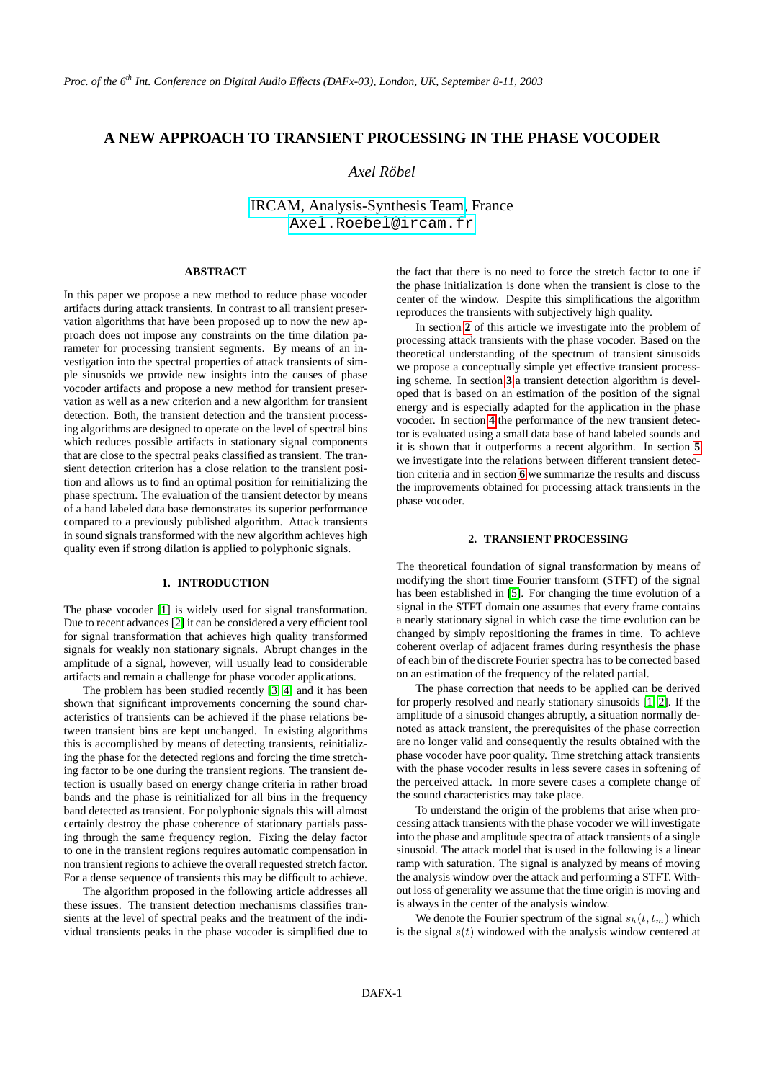# **A NEW APPROACH TO TRANSIENT PROCESSING IN THE PHASE VOCODER**

## *Axel Robel ¨*

[IRCAM, Analysis-Synthesis Team,](http://www.ircam.fr/anasyn) France [Axel.Roebel@ircam.fr](mailto:Axel.Roebel@ircam.fr)

### **ABSTRACT**

In this paper we propose a new method to reduce phase vocoder artifacts during attack transients. In contrast to all transient preservation algorithms that have been proposed up to now the new approach does not impose any constraints on the time dilation parameter for processing transient segments. By means of an investigation into the spectral properties of attack transients of simple sinusoids we provide new insights into the causes of phase vocoder artifacts and propose a new method for transient preservation as well as a new criterion and a new algorithm for transient detection. Both, the transient detection and the transient processing algorithms are designed to operate on the level of spectral bins which reduces possible artifacts in stationary signal components that are close to the spectral peaks classified as transient. The transient detection criterion has a close relation to the transient position and allows us to find an optimal position for reinitializing the phase spectrum. The evaluation of the transient detector by means of a hand labeled data base demonstrates its superior performance compared to a previously published algorithm. Attack transients in sound signals transformed with the new algorithm achieves high quality even if strong dilation is applied to polyphonic signals.

#### **1. INTRODUCTION**

The phase vocoder [\[1\]](#page-5-0) is widely used for signal transformation. Due to recent advances [\[2\]](#page-5-1) it can be considered a very efficient tool for signal transformation that achieves high quality transformed signals for weakly non stationary signals. Abrupt changes in the amplitude of a signal, however, will usually lead to considerable artifacts and remain a challenge for phase vocoder applications.

The problem has been studied recently [\[3,](#page-5-2) [4\]](#page-5-3) and it has been shown that significant improvements concerning the sound characteristics of transients can be achieved if the phase relations between transient bins are kept unchanged. In existing algorithms this is accomplished by means of detecting transients, reinitializing the phase for the detected regions and forcing the time stretching factor to be one during the transient regions. The transient detection is usually based on energy change criteria in rather broad bands and the phase is reinitialized for all bins in the frequency band detected as transient. For polyphonic signals this will almost certainly destroy the phase coherence of stationary partials passing through the same frequency region. Fixing the delay factor to one in the transient regions requires automatic compensation in non transient regions to achieve the overall requested stretch factor. For a dense sequence of transients this may be difficult to achieve.

The algorithm proposed in the following article addresses all these issues. The transient detection mechanisms classifies transients at the level of spectral peaks and the treatment of the individual transients peaks in the phase vocoder is simplified due to

the fact that there is no need to force the stretch factor to one if the phase initialization is done when the transient is close to the center of the window. Despite this simplifications the algorithm reproduces the transients with subjectively high quality.

In section **[2](#page-0-0)** of this article we investigate into the problem of processing attack transients with the phase vocoder. Based on the theoretical understanding of the spectrum of transient sinusoids we propose a conceptually simple yet effective transient processing scheme. In section **[3](#page-2-0)** a transient detection algorithm is developed that is based on an estimation of the position of the signal energy and is especially adapted for the application in the phase vocoder. In section **[4](#page-3-0)** the performance of the new transient detector is evaluated using a small data base of hand labeled sounds and it is shown that it outperforms a recent algorithm. In section **[5](#page-4-0)** we investigate into the relations between different transient detection criteria and in section **[6](#page-5-4)** we summarize the results and discuss the improvements obtained for processing attack transients in the phase vocoder.

#### **2. TRANSIENT PROCESSING**

<span id="page-0-0"></span>The theoretical foundation of signal transformation by means of modifying the short time Fourier transform (STFT) of the signal has been established in [\[5\]](#page-5-5). For changing the time evolution of a signal in the STFT domain one assumes that every frame contains a nearly stationary signal in which case the time evolution can be changed by simply repositioning the frames in time. To achieve coherent overlap of adjacent frames during resynthesis the phase of each bin of the discrete Fourier spectra has to be corrected based on an estimation of the frequency of the related partial.

The phase correction that needs to be applied can be derived for properly resolved and nearly stationary sinusoids [\[1,](#page-5-0) [2\]](#page-5-1). If the amplitude of a sinusoid changes abruptly, a situation normally denoted as attack transient, the prerequisites of the phase correction are no longer valid and consequently the results obtained with the phase vocoder have poor quality. Time stretching attack transients with the phase vocoder results in less severe cases in softening of the perceived attack. In more severe cases a complete change of the sound characteristics may take place.

To understand the origin of the problems that arise when processing attack transients with the phase vocoder we will investigate into the phase and amplitude spectra of attack transients of a single sinusoid. The attack model that is used in the following is a linear ramp with saturation. The signal is analyzed by means of moving the analysis window over the attack and performing a STFT. Without loss of generality we assume that the time origin is moving and is always in the center of the analysis window.

We denote the Fourier spectrum of the signal  $s_h(t, t_m)$  which is the signal  $s(t)$  windowed with the analysis window centered at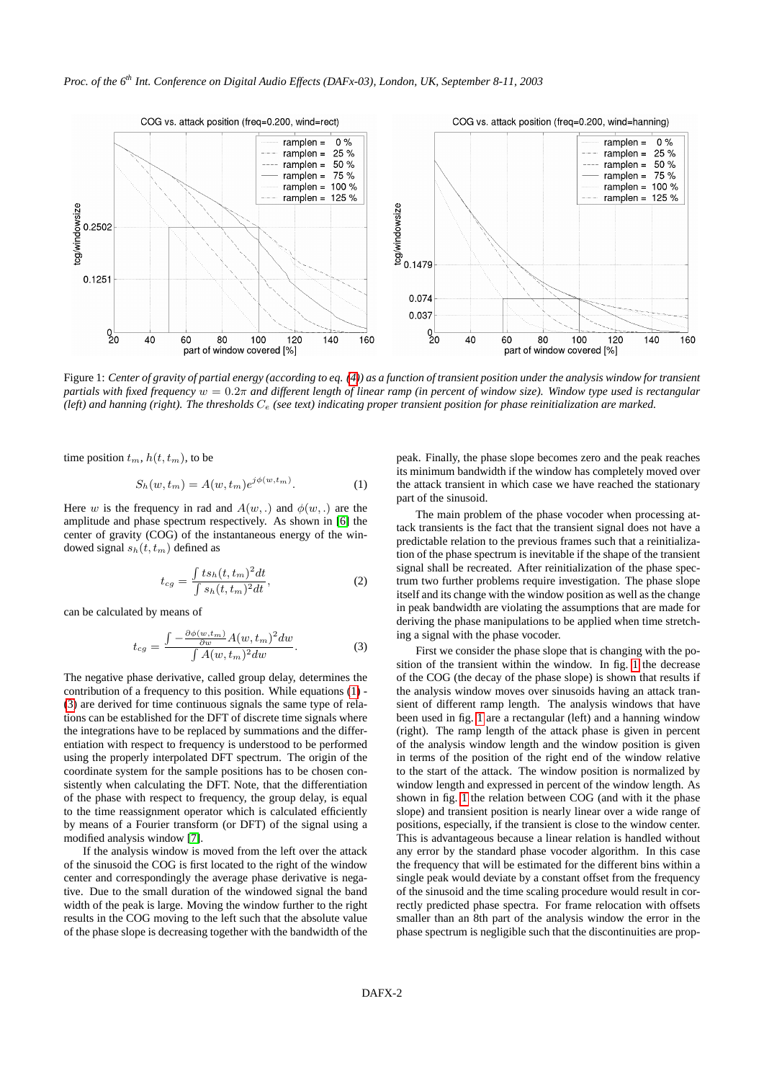

<span id="page-1-2"></span>Figure 1: *Center of gravity of partial energy (according to eq. [\(4\)](#page-2-1)) as a function of transient position under the analysis window for transient partials with fixed frequency* w = 0.2π *and different length of linear ramp (in percent of window size). Window type used is rectangular (left) and hanning (right). The thresholds* C<sup>e</sup> *(see text) indicating proper transient position for phase reinitialization are marked.*

time position  $t_m$ ,  $h(t, t_m)$ , to be

<span id="page-1-0"></span>
$$
S_h(w, t_m) = A(w, t_m) e^{j\phi(w, t_m)}.
$$
 (1)

Here w is the frequency in rad and  $A(w,.)$  and  $\phi(w,.)$  are the amplitude and phase spectrum respectively. As shown in [\[6\]](#page-5-6) the center of gravity (COG) of the instantaneous energy of the windowed signal  $s_h(t, t_m)$  defined as

<span id="page-1-1"></span>
$$
t_{cg} = \frac{\int t s_h(t, t_m)^2 dt}{\int s_h(t, t_m)^2 dt},\tag{2}
$$

can be calculated by means of

$$
t_{cg} = \frac{\int -\frac{\partial \phi(w, t_m)}{\partial w} A(w, t_m)^2 dw}{\int A(w, t_m)^2 dw}.
$$
 (3)

The negative phase derivative, called group delay, determines the contribution of a frequency to this position. While equations [\(1\)](#page-1-0) - [\(3\)](#page-1-1) are derived for time continuous signals the same type of relations can be established for the DFT of discrete time signals where the integrations have to be replaced by summations and the differentiation with respect to frequency is understood to be performed using the properly interpolated DFT spectrum. The origin of the coordinate system for the sample positions has to be chosen consistently when calculating the DFT. Note, that the differentiation of the phase with respect to frequency, the group delay, is equal to the time reassignment operator which is calculated efficiently by means of a Fourier transform (or DFT) of the signal using a modified analysis window [\[7\]](#page-5-7).

If the analysis window is moved from the left over the attack of the sinusoid the COG is first located to the right of the window center and correspondingly the average phase derivative is negative. Due to the small duration of the windowed signal the band width of the peak is large. Moving the window further to the right results in the COG moving to the left such that the absolute value of the phase slope is decreasing together with the bandwidth of the peak. Finally, the phase slope becomes zero and the peak reaches its minimum bandwidth if the window has completely moved over the attack transient in which case we have reached the stationary part of the sinusoid.

The main problem of the phase vocoder when processing attack transients is the fact that the transient signal does not have a predictable relation to the previous frames such that a reinitialization of the phase spectrum is inevitable if the shape of the transient signal shall be recreated. After reinitialization of the phase spectrum two further problems require investigation. The phase slope itself and its change with the window position as well as the change in peak bandwidth are violating the assumptions that are made for deriving the phase manipulations to be applied when time stretching a signal with the phase vocoder.

First we consider the phase slope that is changing with the position of the transient within the window. In fig. [1](#page-1-2) the decrease of the COG (the decay of the phase slope) is shown that results if the analysis window moves over sinusoids having an attack transient of different ramp length. The analysis windows that have been used in fig. [1](#page-1-2) are a rectangular (left) and a hanning window (right). The ramp length of the attack phase is given in percent of the analysis window length and the window position is given in terms of the position of the right end of the window relative to the start of the attack. The window position is normalized by window length and expressed in percent of the window length. As shown in fig. [1](#page-1-2) the relation between COG (and with it the phase slope) and transient position is nearly linear over a wide range of positions, especially, if the transient is close to the window center. This is advantageous because a linear relation is handled without any error by the standard phase vocoder algorithm. In this case the frequency that will be estimated for the different bins within a single peak would deviate by a constant offset from the frequency of the sinusoid and the time scaling procedure would result in correctly predicted phase spectra. For frame relocation with offsets smaller than an 8th part of the analysis window the error in the phase spectrum is negligible such that the discontinuities are prop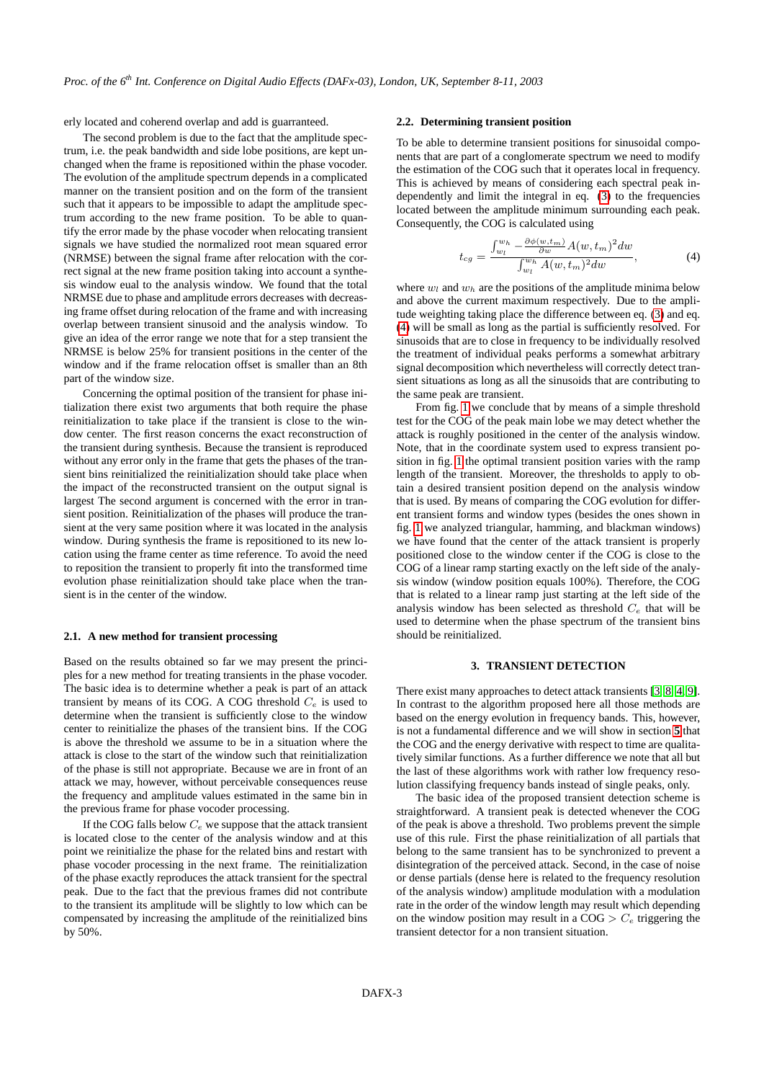erly located and coherend overlap and add is guarranteed.

The second problem is due to the fact that the amplitude spectrum, i.e. the peak bandwidth and side lobe positions, are kept unchanged when the frame is repositioned within the phase vocoder. The evolution of the amplitude spectrum depends in a complicated manner on the transient position and on the form of the transient such that it appears to be impossible to adapt the amplitude spectrum according to the new frame position. To be able to quantify the error made by the phase vocoder when relocating transient signals we have studied the normalized root mean squared error (NRMSE) between the signal frame after relocation with the correct signal at the new frame position taking into account a synthesis window eual to the analysis window. We found that the total NRMSE due to phase and amplitude errors decreases with decreasing frame offset during relocation of the frame and with increasing overlap between transient sinusoid and the analysis window. To give an idea of the error range we note that for a step transient the NRMSE is below 25% for transient positions in the center of the window and if the frame relocation offset is smaller than an 8th part of the window size.

Concerning the optimal position of the transient for phase initialization there exist two arguments that both require the phase reinitialization to take place if the transient is close to the window center. The first reason concerns the exact reconstruction of the transient during synthesis. Because the transient is reproduced without any error only in the frame that gets the phases of the transient bins reinitialized the reinitialization should take place when the impact of the reconstructed transient on the output signal is largest The second argument is concerned with the error in transient position. Reinitialization of the phases will produce the transient at the very same position where it was located in the analysis window. During synthesis the frame is repositioned to its new location using the frame center as time reference. To avoid the need to reposition the transient to properly fit into the transformed time evolution phase reinitialization should take place when the transient is in the center of the window.

#### **2.1. A new method for transient processing**

Based on the results obtained so far we may present the principles for a new method for treating transients in the phase vocoder. The basic idea is to determine whether a peak is part of an attack transient by means of its COG. A COG threshold  $C_e$  is used to determine when the transient is sufficiently close to the window center to reinitialize the phases of the transient bins. If the COG is above the threshold we assume to be in a situation where the attack is close to the start of the window such that reinitialization of the phase is still not appropriate. Because we are in front of an attack we may, however, without perceivable consequences reuse the frequency and amplitude values estimated in the same bin in the previous frame for phase vocoder processing.

If the COG falls below  $C_e$  we suppose that the attack transient is located close to the center of the analysis window and at this point we reinitialize the phase for the related bins and restart with phase vocoder processing in the next frame. The reinitialization of the phase exactly reproduces the attack transient for the spectral peak. Due to the fact that the previous frames did not contribute to the transient its amplitude will be slightly to low which can be compensated by increasing the amplitude of the reinitialized bins by 50%.

#### **2.2. Determining transient position**

To be able to determine transient positions for sinusoidal components that are part of a conglomerate spectrum we need to modify the estimation of the COG such that it operates local in frequency. This is achieved by means of considering each spectral peak independently and limit the integral in eq. [\(3\)](#page-1-1) to the frequencies located between the amplitude minimum surrounding each peak. Consequently, the COG is calculated using

<span id="page-2-1"></span>
$$
t_{cg} = \frac{\int_{w_l}^{w_h} -\frac{\partial \phi(w, t_m)}{\partial w} A(w, t_m)^2 dw}{\int_{w_l}^{w_h} A(w, t_m)^2 dw},
$$
(4)

where  $w_l$  and  $w_h$  are the positions of the amplitude minima below and above the current maximum respectively. Due to the amplitude weighting taking place the difference between eq. [\(3\)](#page-1-1) and eq. [\(4\)](#page-2-1) will be small as long as the partial is sufficiently resolved. For sinusoids that are to close in frequency to be individually resolved the treatment of individual peaks performs a somewhat arbitrary signal decomposition which nevertheless will correctly detect transient situations as long as all the sinusoids that are contributing to the same peak are transient.

From fig. [1](#page-1-2) we conclude that by means of a simple threshold test for the COG of the peak main lobe we may detect whether the attack is roughly positioned in the center of the analysis window. Note, that in the coordinate system used to express transient position in fig. [1](#page-1-2) the optimal transient position varies with the ramp length of the transient. Moreover, the thresholds to apply to obtain a desired transient position depend on the analysis window that is used. By means of comparing the COG evolution for different transient forms and window types (besides the ones shown in fig. [1](#page-1-2) we analyzed triangular, hamming, and blackman windows) we have found that the center of the attack transient is properly positioned close to the window center if the COG is close to the COG of a linear ramp starting exactly on the left side of the analysis window (window position equals 100%). Therefore, the COG that is related to a linear ramp just starting at the left side of the analysis window has been selected as threshold  $C_e$  that will be used to determine when the phase spectrum of the transient bins should be reinitialized.

#### **3. TRANSIENT DETECTION**

<span id="page-2-0"></span>There exist many approaches to detect attack transients [\[3,](#page-5-2) [8,](#page-5-8) [4,](#page-5-3) [9\]](#page-5-9). In contrast to the algorithm proposed here all those methods are based on the energy evolution in frequency bands. This, however, is not a fundamental difference and we will show in section **[5](#page-4-0)** that the COG and the energy derivative with respect to time are qualitatively similar functions. As a further difference we note that all but the last of these algorithms work with rather low frequency resolution classifying frequency bands instead of single peaks, only.

The basic idea of the proposed transient detection scheme is straightforward. A transient peak is detected whenever the COG of the peak is above a threshold. Two problems prevent the simple use of this rule. First the phase reinitialization of all partials that belong to the same transient has to be synchronized to prevent a disintegration of the perceived attack. Second, in the case of noise or dense partials (dense here is related to the frequency resolution of the analysis window) amplitude modulation with a modulation rate in the order of the window length may result which depending on the window position may result in a  $COG > C_e$  triggering the transient detector for a non transient situation.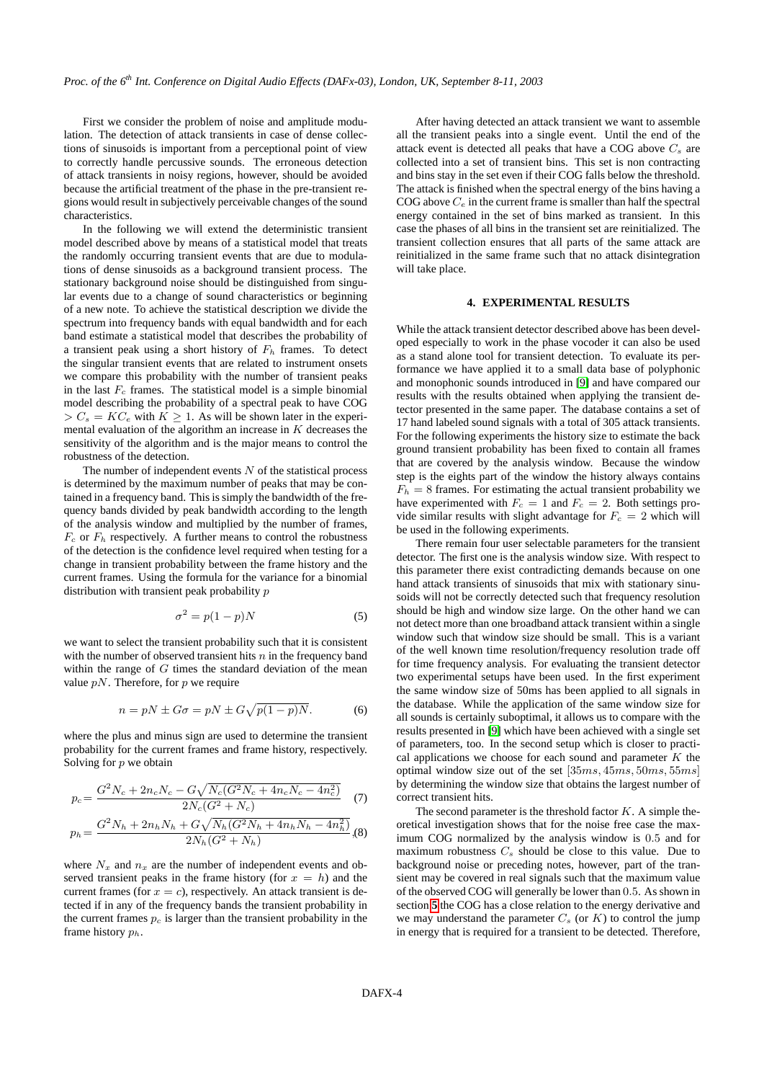First we consider the problem of noise and amplitude modulation. The detection of attack transients in case of dense collections of sinusoids is important from a perceptional point of view to correctly handle percussive sounds. The erroneous detection of attack transients in noisy regions, however, should be avoided because the artificial treatment of the phase in the pre-transient regions would result in subjectively perceivable changes of the sound characteristics.

In the following we will extend the deterministic transient model described above by means of a statistical model that treats the randomly occurring transient events that are due to modulations of dense sinusoids as a background transient process. The stationary background noise should be distinguished from singular events due to a change of sound characteristics or beginning of a new note. To achieve the statistical description we divide the spectrum into frequency bands with equal bandwidth and for each band estimate a statistical model that describes the probability of a transient peak using a short history of  $F<sub>h</sub>$  frames. To detect the singular transient events that are related to instrument onsets we compare this probability with the number of transient peaks in the last  $F_c$  frames. The statistical model is a simple binomial model describing the probability of a spectral peak to have COG  $> C_s = KC_e$  with  $K \geq 1$ . As will be shown later in the experimental evaluation of the algorithm an increase in  $K$  decreases the sensitivity of the algorithm and is the major means to control the robustness of the detection.

The number of independent events  $N$  of the statistical process is determined by the maximum number of peaks that may be contained in a frequency band. This is simply the bandwidth of the frequency bands divided by peak bandwidth according to the length of the analysis window and multiplied by the number of frames,  $F_c$  or  $F_h$  respectively. A further means to control the robustness of the detection is the confidence level required when testing for a change in transient probability between the frame history and the current frames. Using the formula for the variance for a binomial distribution with transient peak probability p

$$
\sigma^2 = p(1-p)N\tag{5}
$$

we want to select the transient probability such that it is consistent with the number of observed transient hits  $n$  in the frequency band within the range of  $G$  times the standard deviation of the mean value  $pN$ . Therefore, for p we require

$$
n = pN \pm G\sigma = pN \pm G\sqrt{p(1-p)N}.
$$
 (6)

where the plus and minus sign are used to determine the transient probability for the current frames and frame history, respectively. Solving for  $p$  we obtain

$$
p_c = \frac{G^2 N_c + 2n_c N_c - G\sqrt{N_c(G^2 N_c + 4n_c N_c - 4n_c^2)}}{2N_c(G^2 + N_c)} \tag{7}
$$

$$
p_h = \frac{G^2 N_h + 2n_h N_h + G\sqrt{N_h (G^2 N_h + 4n_h N_h - 4n_h^2)}}{2N_h (G^2 + N_h)}
$$
(8)

where  $N_x$  and  $n_x$  are the number of independent events and observed transient peaks in the frame history (for  $x = h$ ) and the current frames (for  $x = c$ ), respectively. An attack transient is detected if in any of the frequency bands the transient probability in the current frames  $p_c$  is larger than the transient probability in the frame history  $p_h$ .

After having detected an attack transient we want to assemble all the transient peaks into a single event. Until the end of the attack event is detected all peaks that have a COG above  $C_s$  are collected into a set of transient bins. This set is non contracting and bins stay in the set even if their COG falls below the threshold. The attack is finished when the spectral energy of the bins having a COG above  $C_e$  in the current frame is smaller than half the spectral energy contained in the set of bins marked as transient. In this case the phases of all bins in the transient set are reinitialized. The transient collection ensures that all parts of the same attack are reinitialized in the same frame such that no attack disintegration will take place.

#### **4. EXPERIMENTAL RESULTS**

<span id="page-3-0"></span>While the attack transient detector described above has been developed especially to work in the phase vocoder it can also be used as a stand alone tool for transient detection. To evaluate its performance we have applied it to a small data base of polyphonic and monophonic sounds introduced in [\[9\]](#page-5-9) and have compared our results with the results obtained when applying the transient detector presented in the same paper. The database contains a set of 17 hand labeled sound signals with a total of 305 attack transients. For the following experiments the history size to estimate the back ground transient probability has been fixed to contain all frames that are covered by the analysis window. Because the window step is the eights part of the window the history always contains  $F_h = 8$  frames. For estimating the actual transient probability we have experimented with  $F_c = 1$  and  $F_c = 2$ . Both settings provide similar results with slight advantage for  $F_c = 2$  which will be used in the following experiments.

There remain four user selectable parameters for the transient detector. The first one is the analysis window size. With respect to this parameter there exist contradicting demands because on one hand attack transients of sinusoids that mix with stationary sinusoids will not be correctly detected such that frequency resolution should be high and window size large. On the other hand we can not detect more than one broadband attack transient within a single window such that window size should be small. This is a variant of the well known time resolution/frequency resolution trade off for time frequency analysis. For evaluating the transient detector two experimental setups have been used. In the first experiment the same window size of 50ms has been applied to all signals in the database. While the application of the same window size for all sounds is certainly suboptimal, it allows us to compare with the results presented in [\[9\]](#page-5-9) which have been achieved with a single set of parameters, too. In the second setup which is closer to practical applications we choose for each sound and parameter  $K$  the optimal window size out of the set [35ms, 45ms, 50ms, 55ms] by determining the window size that obtains the largest number of correct transient hits.

The second parameter is the threshold factor  $K$ . A simple theoretical investigation shows that for the noise free case the maximum COG normalized by the analysis window is 0.5 and for maximum robustness  $C_s$  should be close to this value. Due to background noise or preceding notes, however, part of the transient may be covered in real signals such that the maximum value of the observed COG will generally be lower than 0.5. As shown in section **[5](#page-4-0)** the COG has a close relation to the energy derivative and we may understand the parameter  $C_s$  (or  $K$ ) to control the jump in energy that is required for a transient to be detected. Therefore,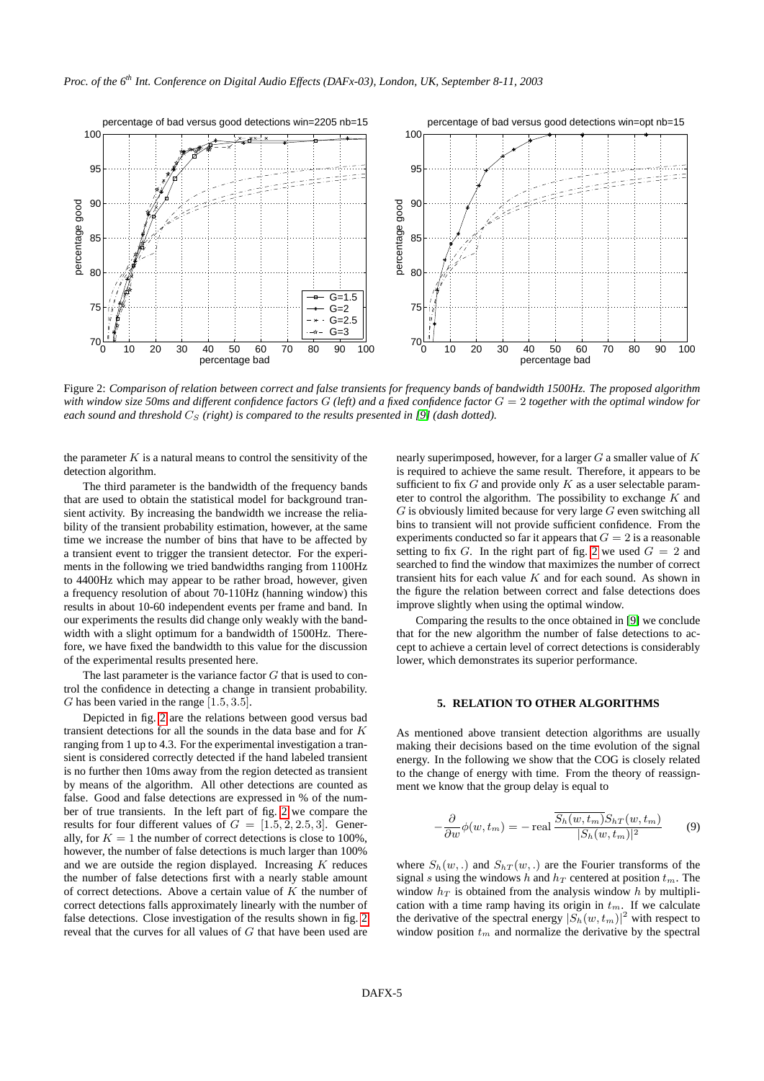

<span id="page-4-1"></span>Figure 2: *Comparison of relation between correct and false transients for frequency bands of bandwidth 1500Hz. The proposed algorithm with window size 50ms and different confidence factors* G *(left) and a fixed confidence factor* G = 2 *together with the optimal window for each sound and threshold*  $C_S$  (right) is compared to the results presented in [\[9\]](#page-5-9) (dash dotted).

the parameter  $K$  is a natural means to control the sensitivity of the detection algorithm.

The third parameter is the bandwidth of the frequency bands that are used to obtain the statistical model for background transient activity. By increasing the bandwidth we increase the reliability of the transient probability estimation, however, at the same time we increase the number of bins that have to be affected by a transient event to trigger the transient detector. For the experiments in the following we tried bandwidths ranging from 1100Hz to 4400Hz which may appear to be rather broad, however, given a frequency resolution of about 70-110Hz (hanning window) this results in about 10-60 independent events per frame and band. In our experiments the results did change only weakly with the bandwidth with a slight optimum for a bandwidth of 1500Hz. Therefore, we have fixed the bandwidth to this value for the discussion of the experimental results presented here.

The last parameter is the variance factor  $G$  that is used to control the confidence in detecting a change in transient probability. G has been varied in the range  $[1.5, 3.5]$ .

Depicted in fig. [2](#page-4-1) are the relations between good versus bad transient detections for all the sounds in the data base and for K ranging from 1 up to 4.3. For the experimental investigation a transient is considered correctly detected if the hand labeled transient is no further then 10ms away from the region detected as transient by means of the algorithm. All other detections are counted as false. Good and false detections are expressed in % of the number of true transients. In the left part of fig. [2](#page-4-1) we compare the results for four different values of  $G = [1.5, 2, 2.5, 3]$ . Generally, for  $K = 1$  the number of correct detections is close to 100%, however, the number of false detections is much larger than 100% and we are outside the region displayed. Increasing  $K$  reduces the number of false detections first with a nearly stable amount of correct detections. Above a certain value of  $K$  the number of correct detections falls approximately linearly with the number of false detections. Close investigation of the results shown in fig. [2](#page-4-1) reveal that the curves for all values of G that have been used are

nearly superimposed, however, for a larger  $G$  a smaller value of  $K$ is required to achieve the same result. Therefore, it appears to be sufficient to fix  $G$  and provide only  $K$  as a user selectable parameter to control the algorithm. The possibility to exchange  $K$  and  $G$  is obviously limited because for very large  $G$  even switching all bins to transient will not provide sufficient confidence. From the experiments conducted so far it appears that  $G = 2$  is a reasonable setting to fix G. In the right part of fig. [2](#page-4-1) we used  $G = 2$  and searched to find the window that maximizes the number of correct transient hits for each value  $K$  and for each sound. As shown in the figure the relation between correct and false detections does improve slightly when using the optimal window.

Comparing the results to the once obtained in [\[9\]](#page-5-9) we conclude that for the new algorithm the number of false detections to accept to achieve a certain level of correct detections is considerably lower, which demonstrates its superior performance.

## **5. RELATION TO OTHER ALGORITHMS**

<span id="page-4-0"></span>As mentioned above transient detection algorithms are usually making their decisions based on the time evolution of the signal energy. In the following we show that the COG is closely related to the change of energy with time. From the theory of reassignment we know that the group delay is equal to

<span id="page-4-2"></span>
$$
-\frac{\partial}{\partial w}\phi(w,t_m) = -\operatorname{real} \frac{\overline{S_h(w,t_m)} S_{hT}(w,t_m)}{|S_h(w,t_m)|^2} \qquad (9)
$$

where  $S_h(w,.)$  and  $S_{hT}(w,.)$  are the Fourier transforms of the signal s using the windows h and  $h_T$  centered at position  $t_m$ . The window  $h_T$  is obtained from the analysis window h by multiplication with a time ramp having its origin in  $t_m$ . If we calculate the derivative of the spectral energy  $|S_h(w, t_m)|^2$  with respect to window position  $t_m$  and normalize the derivative by the spectral